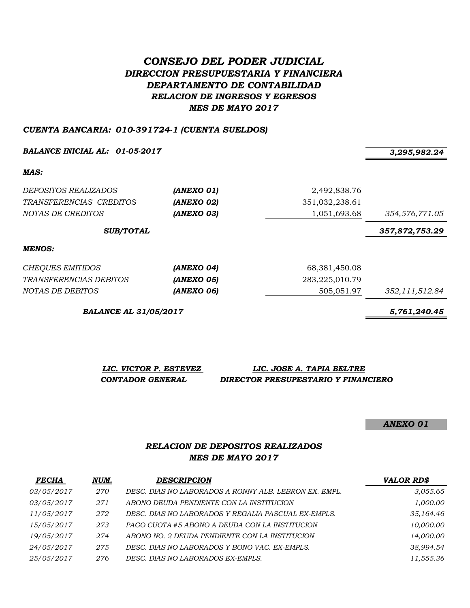# *CONSEJO DEL PODER JUDICIAL DIRECCION PRESUPUESTARIA Y FINANCIERA DEPARTAMENTO DE CONTABILIDAD RELACION DE INGRESOS Y EGRESOS MES DE MAYO 2017*

### *CUENTA BANCARIA: 010-391724-1 (CUENTA SUELDOS)*

*BALANCE INICIAL AL: 01-05-2017 3,295,982.24*

*MAS:*

| <i>DEPOSITOS REALIZADOS</i><br>TRANSFERENCIAS CREDITOS<br>NOTAS DE CREDITOS | (ANEXO 01)<br>(ANEXO 02)<br>(ANEXO 03) | 2,492,838.76<br>351,032,238.61<br>1,051,693.68 | 354,576,771.05 |
|-----------------------------------------------------------------------------|----------------------------------------|------------------------------------------------|----------------|
| <b>SUB/TOTAL</b>                                                            |                                        |                                                | 357,872,753.29 |
| <b>MENOS:</b>                                                               |                                        |                                                |                |
| CHEQUES EMITIDOS                                                            | (ANEXO 04)                             | 68,381,450.08                                  |                |
| TRANSFERENCIAS DEBITOS                                                      | (ANEXO 05)                             | 283,225,010.79                                 |                |
| NOTAS DE DEBITOS                                                            | (ANEXO 06)                             | 505.051.97                                     | 352,111,512.84 |

*BALANCE AL 31/05/2017 5,761,240.45*

*LIC. VICTOR P. ESTEVEZ LIC. JOSE A. TAPIA BELTRE CONTADOR GENERAL DIRECTOR PRESUPESTARIO Y FINANCIERO*

*ANEXO 01*

# *RELACION DE DEPOSITOS REALIZADOS MES DE MAYO 2017*

| <b>FECHA</b> | NUM. | <b>DESCRIPCION</b>                                    | <b>VALOR RD\$</b> |
|--------------|------|-------------------------------------------------------|-------------------|
| 03/05/2017   | 270  | DESC. DIAS NO LABORADOS A RONNY ALB. LEBRON EX. EMPL. | 3,055.65          |
| 03/05/2017   | 271  | ABONO DEUDA PENDIENTE CON LA INSTITUCION              | 1,000.00          |
| 11/05/2017   | 272  | DESC. DIAS NO LABORADOS Y REGALIA PASCUAL EX-EMPLS.   | 35,164.46         |
| 15/05/2017   | 273  | PAGO CUOTA #5 ABONO A DEUDA CON LA INSTITUCION        | 10,000.00         |
| 19/05/2017   | 274  | ABONO NO. 2 DEUDA PENDIENTE CON LA INSTITUCION        | 14,000.00         |
| 24/05/2017   | 275  | DESC. DIAS NO LABORADOS Y BONO VAC. EX-EMPLS.         | 38,994.54         |
| 25/05/2017   | 276  | DESC. DIAS NO LABORADOS EX-EMPLS.                     | 11,555.36         |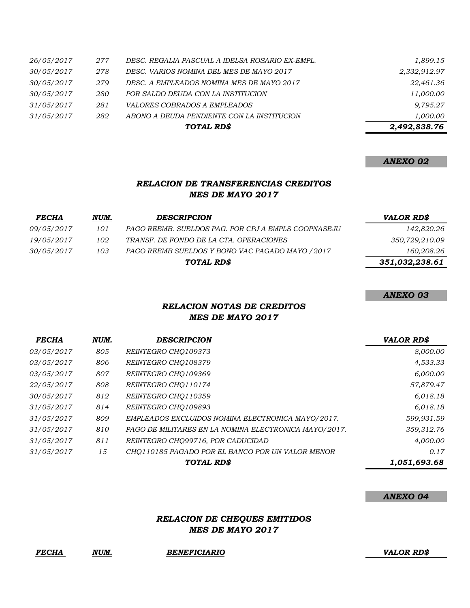|            |     | TOTAL RD\$                                      | 2,492,838.76 |
|------------|-----|-------------------------------------------------|--------------|
| 31/05/2017 | 282 | ABONO A DEUDA PENDIENTE CON LA INSTITUCION      | 1,000.00     |
| 31/05/2017 | 281 | <i>VALORES COBRADOS A EMPLEADOS</i>             | 9,795.27     |
| 30/05/2017 | 280 | POR SALDO DEUDA CON LA INSTITUCION              | 11,000.00    |
| 30/05/2017 | 279 | DESC. A EMPLEADOS NOMINA MES DE MAYO 2017       | 22,461.36    |
| 30/05/2017 | 278 | DESC. VARIOS NOMINA DEL MES DE MAYO 2017        | 2,332,912.97 |
| 26/05/2017 | 277 | DESC. REGALIA PASCUAL A IDELSA ROSARIO EX-EMPL. | 1,899.15     |

### *ANEXO 02*

# *RELACION DE TRANSFERENCIAS CREDITOS MES DE MAYO 2017*

| <b>FECHA</b>      | NUM. | <b>DESCRIPCION</b>                                  | <b>VALOR RD\$</b> |
|-------------------|------|-----------------------------------------------------|-------------------|
| <i>09/05/2017</i> | 101  | PAGO REEMB. SUELDOS PAG. POR CPJ A EMPLS COOPNASEJU | 142,820.26        |
| 19/05/2017        | 102  | TRANSF. DE FONDO DE LA CTA. OPERACIONES             | 350,729,210.09    |
| 30/05/2017        | 103  | PAGO REEMB SUELDOS Y BONO VAC PAGADO MAYO / 2017    | 160,208.26        |
|                   |      | TOTAL RD\$                                          | 351,032,238.61    |

#### *ANEXO 03*

# *RELACION NOTAS DE CREDITOS MES DE MAYO 2017*

| <b>FECHA</b>      | NUM. | <b>DESCRIPCION</b>                                    | <b>VALOR RD\$</b> |
|-------------------|------|-------------------------------------------------------|-------------------|
| <i>03/05/2017</i> | 805  | REINTEGRO CHO109373                                   | 8,000.00          |
| 03/05/2017        | 806  | REINTEGRO CHO108379                                   | 4,533.33          |
| 03/05/2017        | 807  | REINTEGRO CHO109369                                   | 6,000.00          |
| 22/05/2017        | 808  | REINTEGRO CHO110174                                   | 57,879.47         |
| 30/05/2017        | 812  | REINTEGRO CHO110359                                   | 6,018.18          |
| 31/05/2017        | 814  | REINTEGRO CHO109893                                   | 6,018.18          |
| 31/05/2017        | 809  | EMPLEADOS EXCLUIDOS NOMINA ELECTRONICA MAYO/2017.     | 599,931.59        |
| 31/05/2017        | 810  | PAGO DE MILITARES EN LA NOMINA ELECTRONICA MAYO/2017. | 359,312.76        |
| 31/05/2017        | 811  | REINTEGRO CHO99716, POR CADUCIDAD                     | 4,000.00          |
| 31/05/2017        | 15   | CHO110185 PAGADO POR EL BANCO POR UN VALOR MENOR      | 0.17              |
|                   |      | TOTAL RD\$                                            | 1,051,693.68      |

#### *ANEXO 04*

### *RELACION DE CHEQUES EMITIDOS MES DE MAYO 2017*

*FECHA NUM. BENEFICIARIO VALOR RD\$*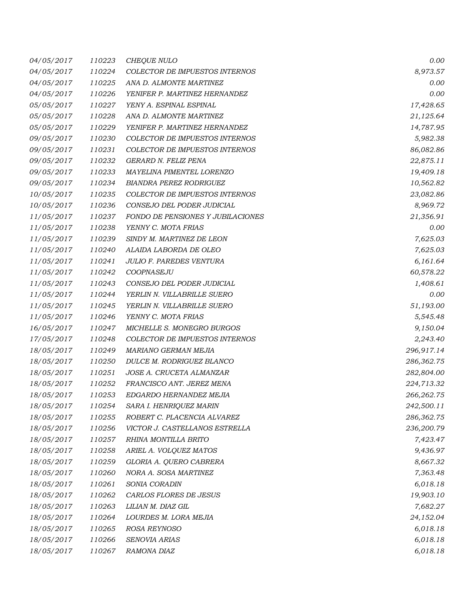| 04/05/2017 | 110223 | CHEQUE NULO                       | 0.00        |
|------------|--------|-----------------------------------|-------------|
| 04/05/2017 | 110224 | COLECTOR DE IMPUESTOS INTERNOS    | 8,973.57    |
| 04/05/2017 | 110225 | ANA D. ALMONTE MARTINEZ           | 0.00        |
| 04/05/2017 | 110226 | YENIFER P. MARTINEZ HERNANDEZ     | 0.00        |
| 05/05/2017 | 110227 | YENY A. ESPINAL ESPINAL           | 17,428.65   |
| 05/05/2017 | 110228 | ANA D. ALMONTE MARTINEZ           | 21,125.64   |
| 05/05/2017 | 110229 | YENIFER P. MARTINEZ HERNANDEZ     | 14,787.95   |
| 09/05/2017 | 110230 | COLECTOR DE IMPUESTOS INTERNOS    | 5,982.38    |
| 09/05/2017 | 110231 | COLECTOR DE IMPUESTOS INTERNOS    | 86,082.86   |
| 09/05/2017 | 110232 | GERARD N. FELIZ PENA              | 22,875.11   |
| 09/05/2017 | 110233 | MAYELINA PIMENTEL LORENZO         | 19,409.18   |
| 09/05/2017 | 110234 | BIANDRA PEREZ RODRIGUEZ           | 10,562.82   |
| 10/05/2017 | 110235 | COLECTOR DE IMPUESTOS INTERNOS    | 23,082.86   |
| 10/05/2017 | 110236 | CONSEJO DEL PODER JUDICIAL        | 8,969.72    |
| 11/05/2017 | 110237 | FONDO DE PENSIONES Y JUBILACIONES | 21,356.91   |
| 11/05/2017 | 110238 | YENNY C. MOTA FRIAS               | 0.00        |
| 11/05/2017 | 110239 | SINDY M. MARTINEZ DE LEON         | 7,625.03    |
| 11/05/2017 | 110240 | ALAIDA LABORDA DE OLEO            | 7,625.03    |
| 11/05/2017 | 110241 | JULIO F. PAREDES VENTURA          | 6,161.64    |
| 11/05/2017 | 110242 | COOPNASEJU                        | 60,578.22   |
| 11/05/2017 | 110243 | CONSEJO DEL PODER JUDICIAL        | 1,408.61    |
| 11/05/2017 | 110244 | YERLIN N. VILLABRILLE SUERO       | 0.00        |
| 11/05/2017 | 110245 | YERLIN N. VILLABRILLE SUERO       | 51,193.00   |
| 11/05/2017 | 110246 | YENNY C. MOTA FRIAS               | 5,545.48    |
| 16/05/2017 | 110247 | MICHELLE S. MONEGRO BURGOS        | 9,150.04    |
| 17/05/2017 | 110248 | COLECTOR DE IMPUESTOS INTERNOS    | 2,243.40    |
| 18/05/2017 | 110249 | MARIANO GERMAN MEJIA              | 296,917.14  |
| 18/05/2017 | 110250 | DULCE M. RODRIGUEZ BLANCO         | 286,362.75  |
| 18/05/2017 | 110251 | JOSE A. CRUCETA ALMANZAR          | 282,804.00  |
| 18/05/2017 | 110252 | FRANCISCO ANT. JEREZ MENA         | 224,713.32  |
| 18/05/2017 | 110253 | EDGARDO HERNANDEZ MEJIA           | 266, 262.75 |
| 18/05/2017 | 110254 | SARA I. HENRIQUEZ MARIN           | 242,500.11  |
| 18/05/2017 | 110255 | ROBERT C. PLACENCIA ALVAREZ       | 286,362.75  |
| 18/05/2017 | 110256 | VICTOR J. CASTELLANOS ESTRELLA    | 236,200.79  |
| 18/05/2017 | 110257 | RHINA MONTILLA BRITO              | 7,423.47    |
| 18/05/2017 | 110258 | ARIEL A. VOLQUEZ MATOS            | 9,436.97    |
| 18/05/2017 | 110259 | GLORIA A. QUERO CABRERA           | 8,667.32    |
| 18/05/2017 | 110260 | NORA A. SOSA MARTINEZ             | 7,363.48    |
| 18/05/2017 | 110261 | SONIA CORADIN                     | 6,018.18    |
| 18/05/2017 | 110262 | CARLOS FLORES DE JESUS            | 19,903.10   |
| 18/05/2017 | 110263 | LILIAN M. DIAZ GIL                | 7,682.27    |
| 18/05/2017 | 110264 | LOURDES M. LORA MEJIA             | 24,152.04   |
| 18/05/2017 | 110265 | ROSA REYNOSO                      | 6,018.18    |
| 18/05/2017 | 110266 | SENOVIA ARIAS                     | 6,018.18    |
| 18/05/2017 | 110267 | RAMONA DIAZ                       | 6,018.18    |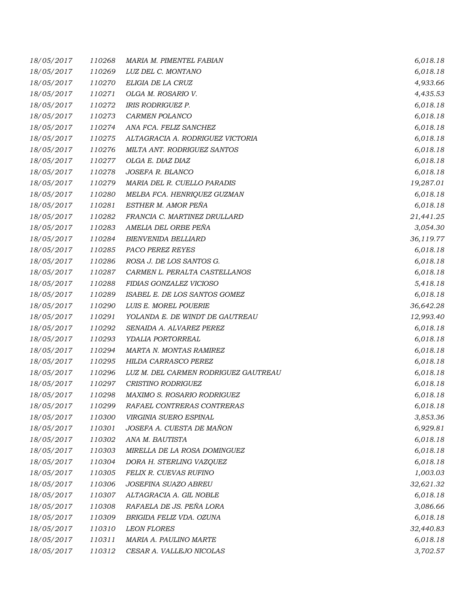| 18/05/2017 | 110268 | MARIA M. PIMENTEL FABIAN             | 6,018.18  |
|------------|--------|--------------------------------------|-----------|
| 18/05/2017 | 110269 | LUZ DEL C. MONTANO                   | 6,018.18  |
| 18/05/2017 | 110270 | ELIGIA DE LA CRUZ                    | 4,933.66  |
| 18/05/2017 | 110271 | OLGA M. ROSARIO V.                   | 4,435.53  |
| 18/05/2017 | 110272 | IRIS RODRIGUEZ P.                    | 6,018.18  |
| 18/05/2017 | 110273 | CARMEN POLANCO                       | 6,018.18  |
| 18/05/2017 | 110274 | ANA FCA. FELIZ SANCHEZ               | 6,018.18  |
| 18/05/2017 | 110275 | ALTAGRACIA A. RODRIGUEZ VICTORIA     | 6,018.18  |
| 18/05/2017 | 110276 | MILTA ANT. RODRIGUEZ SANTOS          | 6,018.18  |
| 18/05/2017 | 110277 | OLGA E. DIAZ DIAZ                    | 6,018.18  |
| 18/05/2017 | 110278 | JOSEFA R. BLANCO                     | 6,018.18  |
| 18/05/2017 | 110279 | MARIA DEL R. CUELLO PARADIS          | 19,287.01 |
| 18/05/2017 | 110280 | MELBA FCA. HENRIQUEZ GUZMAN          | 6,018.18  |
| 18/05/2017 | 110281 | ESTHER M. AMOR PEÑA                  | 6,018.18  |
| 18/05/2017 | 110282 | FRANCIA C. MARTINEZ DRULLARD         | 21,441.25 |
| 18/05/2017 | 110283 | AMELIA DEL ORBE PEÑA                 | 3,054.30  |
| 18/05/2017 | 110284 | <b>BIENVENIDA BELLIARD</b>           | 36,119.77 |
| 18/05/2017 | 110285 | <b>PACO PEREZ REYES</b>              | 6,018.18  |
| 18/05/2017 | 110286 | ROSA J. DE LOS SANTOS G.             | 6,018.18  |
| 18/05/2017 | 110287 | CARMEN L. PERALTA CASTELLANOS        | 6,018.18  |
| 18/05/2017 | 110288 | FIDIAS GONZALEZ VICIOSO              | 5,418.18  |
| 18/05/2017 | 110289 | ISABEL E. DE LOS SANTOS GOMEZ        | 6,018.18  |
| 18/05/2017 | 110290 | LUIS E. MOREL POUERIE                | 36,642.28 |
| 18/05/2017 | 110291 | YOLANDA E. DE WINDT DE GAUTREAU      | 12,993.40 |
| 18/05/2017 | 110292 | SENAIDA A. ALVAREZ PEREZ             | 6,018.18  |
| 18/05/2017 | 110293 | YDALIA PORTORREAL                    | 6,018.18  |
| 18/05/2017 | 110294 | MARTA N. MONTAS RAMIREZ              | 6,018.18  |
| 18/05/2017 | 110295 | HILDA CARRASCO PEREZ                 | 6,018.18  |
| 18/05/2017 | 110296 | LUZ M. DEL CARMEN RODRIGUEZ GAUTREAU | 6,018.18  |
| 18/05/2017 | 110297 | CRISTINO RODRIGUEZ                   | 6,018.18  |
| 18/05/2017 | 110298 | MAXIMO S. ROSARIO RODRIGUEZ          | 6,018.18  |
| 18/05/2017 | 110299 | RAFAEL CONTRERAS CONTRERAS           | 6,018.18  |
| 18/05/2017 | 110300 | VIRGINIA SUERO ESPINAL               | 3,853.36  |
| 18/05/2017 | 110301 | JOSEFA A. CUESTA DE MAÑON            | 6,929.81  |
| 18/05/2017 | 110302 | ANA M. BAUTISTA                      | 6,018.18  |
| 18/05/2017 | 110303 | MIRELLA DE LA ROSA DOMINGUEZ         | 6,018.18  |
| 18/05/2017 | 110304 | DORA H. STERLING VAZQUEZ             | 6,018.18  |
| 18/05/2017 | 110305 | FELIX R. CUEVAS RUFINO               | 1,003.03  |
| 18/05/2017 | 110306 | JOSEFINA SUAZO ABREU                 | 32,621.32 |
| 18/05/2017 | 110307 | ALTAGRACIA A. GIL NOBLE              | 6,018.18  |
| 18/05/2017 | 110308 | RAFAELA DE JS. PEÑA LORA             | 3,086.66  |
| 18/05/2017 | 110309 | BRIGIDA FELIZ VDA. OZUNA             | 6,018.18  |
| 18/05/2017 | 110310 | <b>LEON FLORES</b>                   | 32,440.83 |
| 18/05/2017 | 110311 | MARIA A. PAULINO MARTE               | 6,018.18  |
| 18/05/2017 | 110312 | CESAR A. VALLEJO NICOLAS             | 3,702.57  |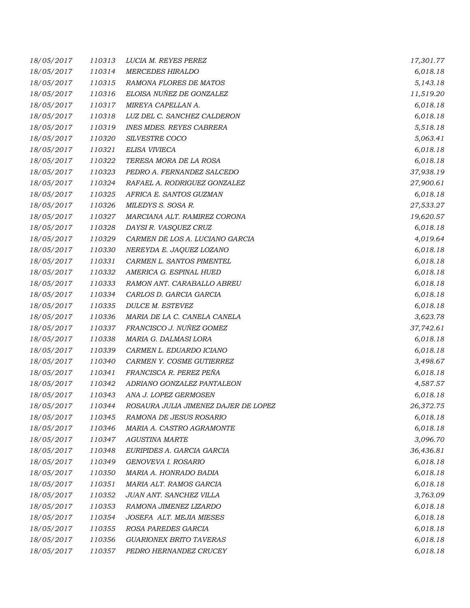| 18/05/2017 | 110313 | LUCIA M. REYES PEREZ                 | 17,301.77 |
|------------|--------|--------------------------------------|-----------|
| 18/05/2017 | 110314 | <b>MERCEDES HIRALDO</b>              | 6,018.18  |
| 18/05/2017 | 110315 | RAMONA FLORES DE MATOS               | 5,143.18  |
| 18/05/2017 | 110316 | ELOISA NUÑEZ DE GONZALEZ             | 11,519.20 |
| 18/05/2017 | 110317 | MIREYA CAPELLAN A.                   | 6,018.18  |
| 18/05/2017 | 110318 | LUZ DEL C. SANCHEZ CALDERON          | 6,018.18  |
| 18/05/2017 | 110319 | <b>INES MDES. REYES CABRERA</b>      | 5,518.18  |
| 18/05/2017 | 110320 | SILVESTRE COCO                       | 5,063.41  |
| 18/05/2017 | 110321 | ELISA VIVIECA                        | 6,018.18  |
| 18/05/2017 | 110322 | TERESA MORA DE LA ROSA               | 6,018.18  |
| 18/05/2017 | 110323 | PEDRO A. FERNANDEZ SALCEDO           | 37,938.19 |
| 18/05/2017 | 110324 | RAFAEL A. RODRIGUEZ GONZALEZ         | 27,900.61 |
| 18/05/2017 | 110325 | AFRICA E. SANTOS GUZMAN              | 6,018.18  |
| 18/05/2017 | 110326 | MILEDYS S. SOSA R.                   | 27,533.27 |
| 18/05/2017 | 110327 | MARCIANA ALT. RAMIREZ CORONA         | 19,620.57 |
| 18/05/2017 | 110328 | DAYSI R. VASQUEZ CRUZ                | 6,018.18  |
| 18/05/2017 | 110329 | CARMEN DE LOS A. LUCIANO GARCIA      | 4,019.64  |
| 18/05/2017 | 110330 | NEREYDA E. JAQUEZ LOZANO             | 6,018.18  |
| 18/05/2017 | 110331 | CARMEN L. SANTOS PIMENTEL            | 6,018.18  |
| 18/05/2017 | 110332 | AMERICA G. ESPINAL HUED              | 6,018.18  |
| 18/05/2017 | 110333 | RAMON ANT. CARABALLO ABREU           | 6,018.18  |
| 18/05/2017 | 110334 | CARLOS D. GARCIA GARCIA              | 6,018.18  |
| 18/05/2017 | 110335 | DULCE M. ESTEVEZ                     | 6,018.18  |
| 18/05/2017 | 110336 | MARIA DE LA C. CANELA CANELA         | 3,623.78  |
| 18/05/2017 | 110337 | FRANCISCO J. NUÑEZ GOMEZ             | 37,742.61 |
| 18/05/2017 | 110338 | MARIA G. DALMASI LORA                | 6,018.18  |
| 18/05/2017 | 110339 | CARMEN L. EDUARDO ICIANO             | 6,018.18  |
| 18/05/2017 | 110340 | CARMEN Y. COSME GUTIERREZ            | 3,498.67  |
| 18/05/2017 | 110341 | FRANCISCA R. PEREZ PEÑA              | 6,018.18  |
| 18/05/2017 | 110342 | ADRIANO GONZALEZ PANTALEON           | 4,587.57  |
| 18/05/2017 | 110343 | ANA J. LOPEZ GERMOSEN                | 6,018.18  |
| 18/05/2017 | 110344 | ROSAURA JULIA JIMENEZ DAJER DE LOPEZ | 26,372.75 |
| 18/05/2017 | 110345 | RAMONA DE JESUS ROSARIO              | 6,018.18  |
| 18/05/2017 | 110346 | MARIA A. CASTRO AGRAMONTE            | 6,018.18  |
| 18/05/2017 | 110347 | <b>AGUSTINA MARTE</b>                | 3,096.70  |
| 18/05/2017 | 110348 | EURIPIDES A. GARCIA GARCIA           | 36,436.81 |
| 18/05/2017 | 110349 | GENOVEVA I. ROSARIO                  | 6,018.18  |
| 18/05/2017 | 110350 | MARIA A. HONRADO BADIA               | 6,018.18  |
| 18/05/2017 | 110351 | MARIA ALT. RAMOS GARCIA              | 6,018.18  |
| 18/05/2017 | 110352 | JUAN ANT. SANCHEZ VILLA              | 3,763.09  |
| 18/05/2017 | 110353 | RAMONA JIMENEZ LIZARDO               | 6,018.18  |
| 18/05/2017 | 110354 | JOSEFA ALT. MEJIA MIESES             | 6,018.18  |
| 18/05/2017 | 110355 | ROSA PAREDES GARCIA                  | 6,018.18  |
| 18/05/2017 | 110356 | <b>GUARIONEX BRITO TAVERAS</b>       | 6,018.18  |
| 18/05/2017 | 110357 | PEDRO HERNANDEZ CRUCEY               | 6,018.18  |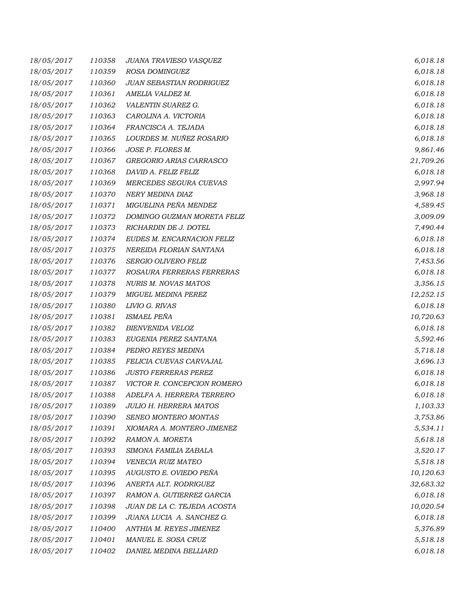| 18/05/2017 | 110358 | JUANA TRAVIESO VASQUEZ        | 6,018.18  |
|------------|--------|-------------------------------|-----------|
| 18/05/2017 | 110359 | ROSA DOMINGUEZ                | 6,018.18  |
| 18/05/2017 | 110360 | JUAN SEBASTIAN RODRIGUEZ      | 6,018.18  |
| 18/05/2017 | 110361 | AMELIA VALDEZ M.              | 6,018.18  |
| 18/05/2017 | 110362 | VALENTIN SUAREZ G.            | 6,018.18  |
| 18/05/2017 | 110363 | CAROLINA A. VICTORIA          | 6,018.18  |
| 18/05/2017 | 110364 | FRANCISCA A. TEJADA           | 6,018.18  |
| 18/05/2017 | 110365 | LOURDES M. NUÑEZ ROSARIO      | 6,018.18  |
| 18/05/2017 | 110366 | JOSE P. FLORES M.             | 9,861.46  |
| 18/05/2017 | 110367 | GREGORIO ARIAS CARRASCO       | 21,709.26 |
| 18/05/2017 | 110368 | DAVID A. FELIZ FELIZ          | 6,018.18  |
| 18/05/2017 | 110369 | MERCEDES SEGURA CUEVAS        | 2,997.94  |
| 18/05/2017 | 110370 | NERY MEDINA DIAZ              | 3,968.18  |
| 18/05/2017 | 110371 | MIGUELINA PEÑA MENDEZ         | 4,589.45  |
| 18/05/2017 | 110372 | DOMINGO GUZMAN MORETA FELIZ   | 3,009.09  |
| 18/05/2017 | 110373 | RICHARDIN DE J. DOTEL         | 7,490.44  |
| 18/05/2017 | 110374 | EUDES M. ENCARNACION FELIZ    | 6,018.18  |
| 18/05/2017 | 110375 | NEREIDA FLORIAN SANTANA       | 6,018.18  |
| 18/05/2017 | 110376 | SERGIO OLIVERO FELIZ          | 7,453.56  |
| 18/05/2017 | 110377 | ROSAURA FERRERAS FERRERAS     | 6,018.18  |
| 18/05/2017 | 110378 | <b>NURIS M. NOVAS MATOS</b>   | 3,356.15  |
| 18/05/2017 | 110379 | <b>MIGUEL MEDINA PEREZ</b>    | 12,252.15 |
| 18/05/2017 | 110380 | LIVIO G. RIVAS                | 6,018.18  |
| 18/05/2017 | 110381 | <b>ISMAEL PEÑA</b>            | 10,720.63 |
| 18/05/2017 | 110382 | <b>BIENVENIDA VELOZ</b>       | 6,018.18  |
| 18/05/2017 | 110383 | EUGENIA PEREZ SANTANA         | 5,592.46  |
| 18/05/2017 | 110384 | PEDRO REYES MEDINA            | 5,718.18  |
| 18/05/2017 | 110385 | FELICIA CUEVAS CARVAJAL       | 3,696.13  |
| 18/05/2017 | 110386 | <b>JUSTO FERRERAS PEREZ</b>   | 6,018.18  |
| 18/05/2017 | 110387 | VICTOR R. CONCEPCION ROMERO   | 6,018.18  |
| 18/05/2017 | 110388 | ADELFA A. HERRERA TERRERO     | 6,018.18  |
| 18/05/2017 | 110389 | <b>JULIO H. HERRERA MATOS</b> | 1,103.33  |
| 18/05/2017 | 110390 | SENEO MONTERO MONTAS          | 3,753.86  |
| 18/05/2017 | 110391 | XIOMARA A. MONTERO JIMENEZ    | 5,534.11  |
| 18/05/2017 | 110392 | RAMON A. MORETA               | 5,618.18  |
| 18/05/2017 | 110393 | SIMONA FAMILIA ZABALA         | 3,520.17  |
| 18/05/2017 | 110394 | <b>VENECIA RUIZ MATEO</b>     | 5,518.18  |
| 18/05/2017 | 110395 | AUGUSTO E. OVIEDO PEÑA        | 10,120.63 |
| 18/05/2017 | 110396 | ANERTA ALT. RODRIGUEZ         | 32,683.32 |
| 18/05/2017 | 110397 | RAMON A. GUTIERREZ GARCIA     | 6,018.18  |
| 18/05/2017 | 110398 | JUAN DE LA C. TEJEDA ACOSTA   | 10,020.54 |
| 18/05/2017 | 110399 | JUANA LUCIA A. SANCHEZ G.     | 6,018.18  |
| 18/05/2017 | 110400 | ANTHIA M. REYES JIMENEZ       | 5,376.89  |
| 18/05/2017 | 110401 | MANUEL E. SOSA CRUZ           | 5,518.18  |
| 18/05/2017 | 110402 | DANIEL MEDINA BELLIARD        | 6,018.18  |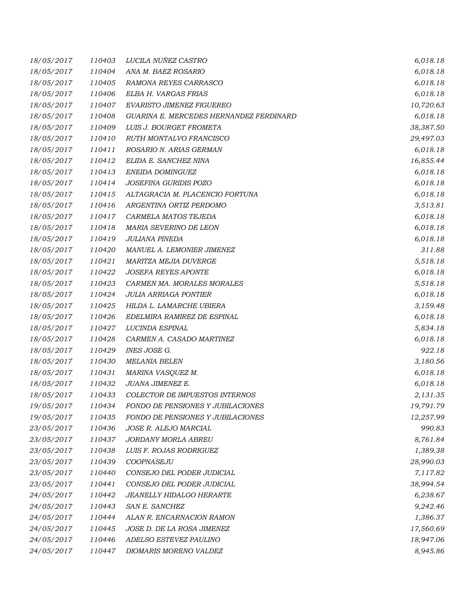| 18/05/2017 | 110403 | LUCILA NUÑEZ CASTRO                     | 6,018.18  |
|------------|--------|-----------------------------------------|-----------|
| 18/05/2017 | 110404 | ANA M. BAEZ ROSARIO                     | 6,018.18  |
| 18/05/2017 | 110405 | RAMONA REYES CARRASCO                   | 6,018.18  |
| 18/05/2017 | 110406 | ELBA H. VARGAS FRIAS                    | 6,018.18  |
| 18/05/2017 | 110407 | EVARISTO JIMENEZ FIGUEREO               | 10,720.63 |
| 18/05/2017 | 110408 | GUARINA E. MERCEDES HERNANDEZ FERDINARD | 6,018.18  |
| 18/05/2017 | 110409 | LUIS J. BOURGET FROMETA                 | 38,387.50 |
| 18/05/2017 | 110410 | RUTH MONTALVO FRANCISCO                 | 29,497.03 |
| 18/05/2017 | 110411 | ROSARIO N. ARIAS GERMAN                 | 6,018.18  |
| 18/05/2017 | 110412 | ELIDA E. SANCHEZ NINA                   | 16,855.44 |
| 18/05/2017 | 110413 | ENEIDA DOMINGUEZ                        | 6,018.18  |
| 18/05/2017 | 110414 | JOSEFINA GURIDIS POZO                   | 6,018.18  |
| 18/05/2017 | 110415 | ALTAGRACIA M. PLACENCIO FORTUNA         | 6,018.18  |
| 18/05/2017 | 110416 | ARGENTINA ORTIZ PERDOMO                 | 3,513.81  |
| 18/05/2017 | 110417 | CARMELA MATOS TEJEDA                    | 6,018.18  |
| 18/05/2017 | 110418 | MARIA SEVERINO DE LEON                  | 6,018.18  |
| 18/05/2017 | 110419 | <b>JULIANA PINEDA</b>                   | 6,018.18  |
| 18/05/2017 | 110420 | MANUEL A. LEMONIER JIMENEZ              | 311.88    |
| 18/05/2017 | 110421 | MARITZA MEJIA DUVERGE                   | 5,518.18  |
| 18/05/2017 | 110422 | <b>JOSEFA REYES APONTE</b>              | 6,018.18  |
| 18/05/2017 | 110423 | CARMEN MA. MORALES MORALES              | 5,518.18  |
| 18/05/2017 | 110424 | <b>JULIA ARRIAGA PONTIER</b>            | 6,018.18  |
| 18/05/2017 | 110425 | HILDA L. LAMARCHE UBIERA                | 3,159.48  |
| 18/05/2017 | 110426 | EDELMIRA RAMIREZ DE ESPINAL             | 6,018.18  |
| 18/05/2017 | 110427 | LUCINDA ESPINAL                         | 5,834.18  |
| 18/05/2017 | 110428 | CARMEN A. CASADO MARTINEZ               | 6,018.18  |
| 18/05/2017 | 110429 | INES JOSE G.                            | 922.18    |
| 18/05/2017 | 110430 | <b>MELANIA BELEN</b>                    | 3,180.56  |
| 18/05/2017 | 110431 | MARINA VASQUEZ M.                       | 6,018.18  |
| 18/05/2017 | 110432 | JUANA JIMENEZ E.                        | 6,018.18  |
| 18/05/2017 | 110433 | COLECTOR DE IMPUESTOS INTERNOS          | 2,131.35  |
| 19/05/2017 | 110434 | FONDO DE PENSIONES Y JUBILACIONES       | 19,791.79 |
| 19/05/2017 | 110435 | FONDO DE PENSIONES Y JUBILACIONES       | 12,257.99 |
| 23/05/2017 | 110436 | JOSE R. ALEJO MARCIAL                   | 990.83    |
| 23/05/2017 | 110437 | JORDANY MORLA ABREU                     | 8,761.84  |
| 23/05/2017 | 110438 | LUIS F. ROJAS RODRIGUEZ                 | 1,389.38  |
| 23/05/2017 | 110439 | COOPNASEJU                              | 28,990.03 |
| 23/05/2017 | 110440 | CONSEJO DEL PODER JUDICIAL              | 7,117.82  |
| 23/05/2017 | 110441 | CONSEJO DEL PODER JUDICIAL              | 38,994.54 |
| 24/05/2017 | 110442 | JEANELLY HIDALGO HERARTE                | 6,238.67  |
| 24/05/2017 | 110443 | SAN E. SANCHEZ                          | 9,242.46  |
| 24/05/2017 | 110444 | ALAN R. ENCARNACION RAMON               | 1,386.37  |
| 24/05/2017 | 110445 | JOSE D. DE LA ROSA JIMENEZ              | 17,560.69 |
| 24/05/2017 | 110446 | ADELSO ESTEVEZ PAULINO                  | 18,947.06 |
| 24/05/2017 | 110447 | DIOMARIS MORENO VALDEZ                  | 8,945.86  |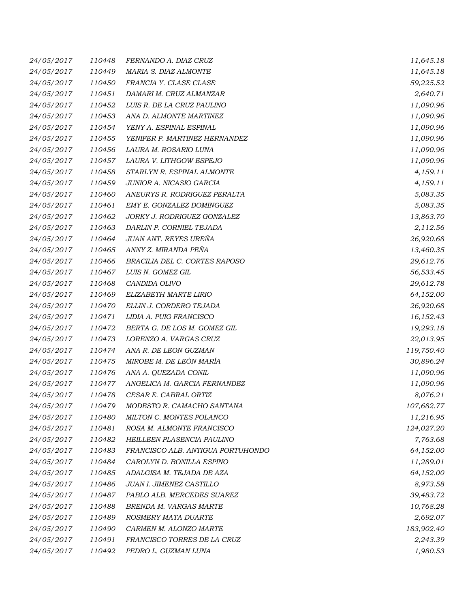| 24/05/2017 | 110448 | FERNANDO A. DIAZ CRUZ             | 11,645.18  |
|------------|--------|-----------------------------------|------------|
| 24/05/2017 | 110449 | MARIA S. DIAZ ALMONTE             | 11,645.18  |
| 24/05/2017 | 110450 | FRANCIA Y. CLASE CLASE            | 59,225.52  |
| 24/05/2017 | 110451 | DAMARI M. CRUZ ALMANZAR           | 2,640.71   |
| 24/05/2017 | 110452 | LUIS R. DE LA CRUZ PAULINO        | 11,090.96  |
| 24/05/2017 | 110453 | ANA D. ALMONTE MARTINEZ           | 11,090.96  |
| 24/05/2017 | 110454 | YENY A. ESPINAL ESPINAL           | 11,090.96  |
| 24/05/2017 | 110455 | YENIFER P. MARTINEZ HERNANDEZ     | 11,090.96  |
| 24/05/2017 | 110456 | LAURA M. ROSARIO LUNA             | 11,090.96  |
| 24/05/2017 | 110457 | LAURA V. LITHGOW ESPEJO           | 11,090.96  |
| 24/05/2017 | 110458 | STARLYN R. ESPINAL ALMONTE        | 4,159.11   |
| 24/05/2017 | 110459 | JUNIOR A. NICASIO GARCIA          | 4,159.11   |
| 24/05/2017 | 110460 | ANEURYS R. RODRIGUEZ PERALTA      | 5,083.35   |
| 24/05/2017 | 110461 | EMY E. GONZALEZ DOMINGUEZ         | 5,083.35   |
| 24/05/2017 | 110462 | JORKY J. RODRIGUEZ GONZALEZ       | 13,863.70  |
| 24/05/2017 | 110463 | DARLIN P. CORNIEL TEJADA          | 2,112.56   |
| 24/05/2017 | 110464 | JUAN ANT. REYES UREÑA             | 26,920.68  |
| 24/05/2017 | 110465 | ANNY Z. MIRANDA PEÑA              | 13,460.35  |
| 24/05/2017 | 110466 | BRACILIA DEL C. CORTES RAPOSO     | 29,612.76  |
| 24/05/2017 | 110467 | LUIS N. GOMEZ GIL                 | 56,533.45  |
| 24/05/2017 | 110468 | CANDIDA OLIVO                     | 29,612.78  |
| 24/05/2017 | 110469 | ELIZABETH MARTE LIRIO             | 64,152.00  |
| 24/05/2017 | 110470 | ELLIN J. CORDERO TEJADA           | 26,920.68  |
| 24/05/2017 | 110471 | LIDIA A. PUIG FRANCISCO           | 16,152.43  |
| 24/05/2017 | 110472 | BERTA G. DE LOS M. GOMEZ GIL      | 19,293.18  |
| 24/05/2017 | 110473 | LORENZO A. VARGAS CRUZ            | 22,013.95  |
| 24/05/2017 | 110474 | ANA R. DE LEON GUZMAN             | 119,750.40 |
| 24/05/2017 | 110475 | MIROBE M. DE LEÓN MARÍA           | 30,896.24  |
| 24/05/2017 | 110476 | ANA A. QUEZADA CONIL              | 11,090.96  |
| 24/05/2017 | 110477 | ANGELICA M. GARCIA FERNANDEZ      | 11,090.96  |
| 24/05/2017 | 110478 | CESAR E. CABRAL ORTIZ             | 8,076.21   |
| 24/05/2017 | 110479 | MODESTO R. CAMACHO SANTANA        | 107,682.77 |
| 24/05/2017 | 110480 | MILTON C. MONTES POLANCO          | 11,216.95  |
| 24/05/2017 | 110481 | ROSA M. ALMONTE FRANCISCO         | 124,027.20 |
| 24/05/2017 | 110482 | HEILLEEN PLASENCIA PAULINO        | 7,763.68   |
| 24/05/2017 | 110483 | FRANCISCO ALB. ANTIGUA PORTUHONDO | 64,152.00  |
| 24/05/2017 | 110484 | CAROLYN D. BONILLA ESPINO         | 11,289.01  |
| 24/05/2017 | 110485 | ADALGISA M. TEJADA DE AZA         | 64,152.00  |
| 24/05/2017 | 110486 | JUAN I. JIMENEZ CASTILLO          | 8,973.58   |
| 24/05/2017 | 110487 | PABLO ALB. MERCEDES SUAREZ        | 39,483.72  |
| 24/05/2017 | 110488 | BRENDA M. VARGAS MARTE            | 10,768.28  |
| 24/05/2017 | 110489 | ROSMERY MATA DUARTE               | 2,692.07   |
| 24/05/2017 | 110490 | CARMEN M. ALONZO MARTE            | 183,902.40 |
| 24/05/2017 | 110491 | FRANCISCO TORRES DE LA CRUZ       | 2,243.39   |
| 24/05/2017 | 110492 | PEDRO L. GUZMAN LUNA              | 1,980.53   |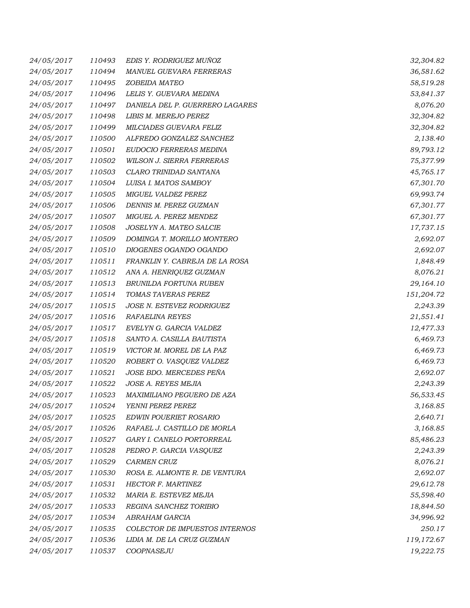| 24/05/2017 | 110493 | EDIS Y. RODRIGUEZ MUÑOZ         | 32,304.82  |
|------------|--------|---------------------------------|------------|
| 24/05/2017 | 110494 | MANUEL GUEVARA FERRERAS         | 36,581.62  |
| 24/05/2017 | 110495 | ZOBEIDA MATEO                   | 58,519.28  |
| 24/05/2017 | 110496 | LELIS Y. GUEVARA MEDINA         | 53,841.37  |
| 24/05/2017 | 110497 | DANIELA DEL P. GUERRERO LAGARES | 8,076.20   |
| 24/05/2017 | 110498 | LIBIS M. MEREJO PEREZ           | 32,304.82  |
| 24/05/2017 | 110499 | MILCIADES GUEVARA FELIZ         | 32,304.82  |
| 24/05/2017 | 110500 | ALFREDO GONZALEZ SANCHEZ        | 2,138.40   |
| 24/05/2017 | 110501 | EUDOCIO FERRERAS MEDINA         | 89,793.12  |
| 24/05/2017 | 110502 | WILSON J. SIERRA FERRERAS       | 75,377.99  |
| 24/05/2017 | 110503 | CLARO TRINIDAD SANTANA          | 45,765.17  |
| 24/05/2017 | 110504 | LUISA I. MATOS SAMBOY           | 67,301.70  |
| 24/05/2017 | 110505 | MIGUEL VALDEZ PEREZ             | 69,993.74  |
| 24/05/2017 | 110506 | DENNIS M. PEREZ GUZMAN          | 67,301.77  |
| 24/05/2017 | 110507 | MIGUEL A. PEREZ MENDEZ          | 67,301.77  |
| 24/05/2017 | 110508 | JOSELYN A. MATEO SALCIE         | 17,737.15  |
| 24/05/2017 | 110509 | DOMINGA T. MORILLO MONTERO      | 2,692.07   |
| 24/05/2017 | 110510 | DIOGENES OGANDO OGANDO          | 2,692.07   |
| 24/05/2017 | 110511 | FRANKLIN Y. CABREJA DE LA ROSA  | 1,848.49   |
| 24/05/2017 | 110512 | ANA A. HENRIQUEZ GUZMAN         | 8,076.21   |
| 24/05/2017 | 110513 | BRUNILDA FORTUNA RUBEN          | 29,164.10  |
| 24/05/2017 | 110514 | TOMAS TAVERAS PEREZ             | 151,204.72 |
| 24/05/2017 | 110515 | JOSE N. ESTEVEZ RODRIGUEZ       | 2,243.39   |
| 24/05/2017 | 110516 | <b>RAFAELINA REYES</b>          | 21,551.41  |
| 24/05/2017 | 110517 | EVELYN G. GARCIA VALDEZ         | 12,477.33  |
| 24/05/2017 | 110518 | SANTO A. CASILLA BAUTISTA       | 6,469.73   |
| 24/05/2017 | 110519 | VICTOR M. MOREL DE LA PAZ       | 6,469.73   |
| 24/05/2017 | 110520 | ROBERT O. VASQUEZ VALDEZ        | 6,469.73   |
| 24/05/2017 | 110521 | JOSE BDO. MERCEDES PEÑA         | 2,692.07   |
| 24/05/2017 | 110522 | JOSE A. REYES MEJIA             | 2,243.39   |
| 24/05/2017 | 110523 | MAXIMILIANO PEGUERO DE AZA      | 56,533.45  |
| 24/05/2017 | 110524 | YENNI PEREZ PEREZ               | 3,168.85   |
| 24/05/2017 | 110525 | EDWIN POUERIET ROSARIO          | 2,640.71   |
| 24/05/2017 | 110526 | RAFAEL J. CASTILLO DE MORLA     | 3,168.85   |
| 24/05/2017 | 110527 | GARY I. CANELO PORTORREAL       | 85,486.23  |
| 24/05/2017 | 110528 | PEDRO P. GARCIA VASQUEZ         | 2,243.39   |
| 24/05/2017 | 110529 | <b>CARMEN CRUZ</b>              | 8,076.21   |
| 24/05/2017 | 110530 | ROSA E. ALMONTE R. DE VENTURA   | 2,692.07   |
| 24/05/2017 | 110531 | HECTOR F. MARTINEZ              | 29,612.78  |
| 24/05/2017 | 110532 | MARIA E. ESTEVEZ MEJIA          | 55,598.40  |
| 24/05/2017 | 110533 | REGINA SANCHEZ TORIBIO          | 18,844.50  |
| 24/05/2017 | 110534 | ABRAHAM GARCIA                  | 34,996.92  |
| 24/05/2017 | 110535 | COLECTOR DE IMPUESTOS INTERNOS  | 250.17     |
| 24/05/2017 | 110536 | LIDIA M. DE LA CRUZ GUZMAN      | 119,172.67 |
| 24/05/2017 | 110537 | COOPNASEJU                      | 19,222.75  |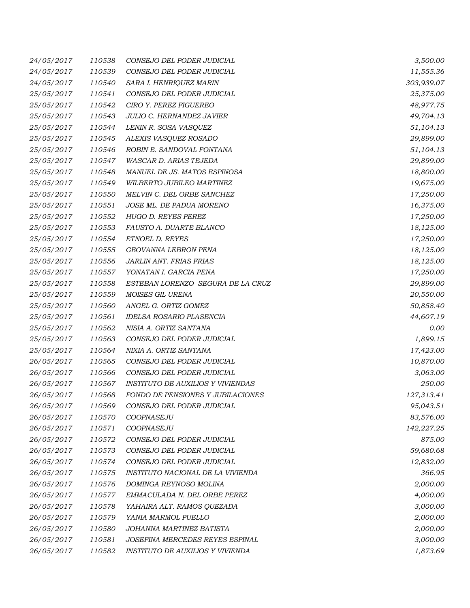| 24/05/2017 | 110538 | CONSEJO DEL PODER JUDICIAL               | 3,500.00   |
|------------|--------|------------------------------------------|------------|
| 24/05/2017 | 110539 | CONSEJO DEL PODER JUDICIAL               | 11,555.36  |
| 24/05/2017 | 110540 | SARA I. HENRIQUEZ MARIN                  | 303,939.07 |
| 25/05/2017 | 110541 | CONSEJO DEL PODER JUDICIAL               | 25,375.00  |
| 25/05/2017 | 110542 | CIRO Y. PEREZ FIGUEREO                   | 48,977.75  |
| 25/05/2017 | 110543 | JULIO C. HERNANDEZ JAVIER                | 49,704.13  |
| 25/05/2017 | 110544 | LENIN R. SOSA VASQUEZ                    | 51,104.13  |
| 25/05/2017 | 110545 | ALEXIS VASQUEZ ROSADO                    | 29,899.00  |
| 25/05/2017 | 110546 | ROBIN E. SANDOVAL FONTANA                | 51,104.13  |
| 25/05/2017 | 110547 | <b>WASCAR D. ARIAS TEJEDA</b>            | 29,899.00  |
| 25/05/2017 | 110548 | MANUEL DE JS. MATOS ESPINOSA             | 18,800.00  |
| 25/05/2017 | 110549 | WILBERTO JUBILEO MARTINEZ                | 19,675.00  |
| 25/05/2017 | 110550 | MELVIN C. DEL ORBE SANCHEZ               | 17,250.00  |
| 25/05/2017 | 110551 | JOSE ML. DE PADUA MORENO                 | 16,375.00  |
| 25/05/2017 | 110552 | HUGO D. REYES PEREZ                      | 17,250.00  |
| 25/05/2017 | 110553 | FAUSTO A. DUARTE BLANCO                  | 18,125.00  |
| 25/05/2017 | 110554 | ETNOEL D. REYES                          | 17,250.00  |
| 25/05/2017 | 110555 | GEOVANNA LEBRON PENA                     | 18,125.00  |
| 25/05/2017 | 110556 | JARLIN ANT. FRIAS FRIAS                  | 18,125.00  |
| 25/05/2017 | 110557 | YONATAN I. GARCIA PENA                   | 17,250.00  |
| 25/05/2017 | 110558 | ESTEBAN LORENZO SEGURA DE LA CRUZ        | 29,899.00  |
| 25/05/2017 | 110559 | MOISES GIL URENA                         | 20,550.00  |
| 25/05/2017 | 110560 | ANGEL G. ORTIZ GOMEZ                     | 50,858.40  |
| 25/05/2017 | 110561 | <b>IDELSA ROSARIO PLASENCIA</b>          | 44,607.19  |
| 25/05/2017 | 110562 | NISIA A. ORTIZ SANTANA                   | 0.00       |
| 25/05/2017 | 110563 | CONSEJO DEL PODER JUDICIAL               | 1,899.15   |
| 25/05/2017 | 110564 | NIXIA A. ORTIZ SANTANA                   | 17,423.00  |
| 26/05/2017 | 110565 | CONSEJO DEL PODER JUDICIAL               | 10,870.00  |
| 26/05/2017 | 110566 | CONSEJO DEL PODER JUDICIAL               | 3,063.00   |
| 26/05/2017 | 110567 | <b>INSTITUTO DE AUXILIOS Y VIVIENDAS</b> | 250.00     |
| 26/05/2017 | 110568 | FONDO DE PENSIONES Y JUBILACIONES        | 127,313.41 |
| 26/05/2017 | 110569 | CONSEJO DEL PODER JUDICIAL               | 95,043.51  |
| 26/05/2017 | 110570 | COOPNASEJU                               | 83,576.00  |
| 26/05/2017 | 110571 | COOPNASEJU                               | 142,227.25 |
| 26/05/2017 | 110572 | CONSEJO DEL PODER JUDICIAL               | 875.00     |
| 26/05/2017 | 110573 | CONSEJO DEL PODER JUDICIAL               | 59,680.68  |
| 26/05/2017 | 110574 | CONSEJO DEL PODER JUDICIAL               | 12,832.00  |
| 26/05/2017 | 110575 | INSTITUTO NACIONAL DE LA VIVIENDA        | 366.95     |
| 26/05/2017 | 110576 | DOMINGA REYNOSO MOLINA                   | 2,000.00   |
| 26/05/2017 | 110577 | EMMACULADA N. DEL ORBE PEREZ             | 4,000.00   |
| 26/05/2017 | 110578 | YAHAIRA ALT. RAMOS QUEZADA               | 3,000.00   |
| 26/05/2017 | 110579 | YANIA MARMOL PUELLO                      | 2,000.00   |
| 26/05/2017 | 110580 | JOHANNA MARTINEZ BATISTA                 | 2,000.00   |
| 26/05/2017 | 110581 | JOSEFINA MERCEDES REYES ESPINAL          | 3,000.00   |
| 26/05/2017 | 110582 | INSTITUTO DE AUXILIOS Y VIVIENDA         | 1,873.69   |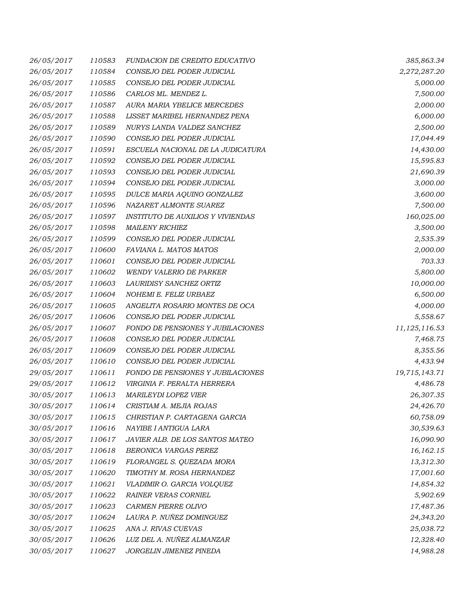| 26/05/2017 | 110583 | <b>FUNDACION DE CREDITO EDUCATIVO</b>    | 385,863.34    |
|------------|--------|------------------------------------------|---------------|
| 26/05/2017 | 110584 | CONSEJO DEL PODER JUDICIAL               | 2,272,287.20  |
| 26/05/2017 | 110585 | CONSEJO DEL PODER JUDICIAL               | 5,000.00      |
| 26/05/2017 | 110586 | CARLOS ML. MENDEZ L.                     | 7,500.00      |
| 26/05/2017 | 110587 | AURA MARIA YBELICE MERCEDES              | 2,000.00      |
| 26/05/2017 | 110588 | LISSET MARIBEL HERNANDEZ PENA            | 6,000.00      |
| 26/05/2017 | 110589 | NURYS LANDA VALDEZ SANCHEZ               | 2,500.00      |
| 26/05/2017 | 110590 | CONSEJO DEL PODER JUDICIAL               | 17,044.49     |
| 26/05/2017 | 110591 | ESCUELA NACIONAL DE LA JUDICATURA        | 14,430.00     |
| 26/05/2017 | 110592 | CONSEJO DEL PODER JUDICIAL               | 15,595.83     |
| 26/05/2017 | 110593 | CONSEJO DEL PODER JUDICIAL               | 21,690.39     |
| 26/05/2017 | 110594 | CONSEJO DEL PODER JUDICIAL               | 3,000.00      |
| 26/05/2017 | 110595 | DULCE MARIA AQUINO GONZALEZ              | 3,600.00      |
| 26/05/2017 | 110596 | NAZARET ALMONTE SUAREZ                   | 7,500.00      |
| 26/05/2017 | 110597 | <b>INSTITUTO DE AUXILIOS Y VIVIENDAS</b> | 160,025.00    |
| 26/05/2017 | 110598 | <b>MAILENY RICHIEZ</b>                   | 3,500.00      |
| 26/05/2017 | 110599 | CONSEJO DEL PODER JUDICIAL               | 2,535.39      |
| 26/05/2017 | 110600 | FAVIANA L. MATOS MATOS                   | 2,000.00      |
| 26/05/2017 | 110601 | CONSEJO DEL PODER JUDICIAL               | 703.33        |
| 26/05/2017 | 110602 | <b>WENDY VALERIO DE PARKER</b>           | 5,800.00      |
| 26/05/2017 | 110603 | LAURIDISY SANCHEZ ORTIZ                  | 10,000.00     |
| 26/05/2017 | 110604 | NOHEMI E. FELIZ URBAEZ                   | 6,500.00      |
| 26/05/2017 | 110605 | ANGELITA ROSARIO MONTES DE OCA           | 4,000.00      |
| 26/05/2017 | 110606 | CONSEJO DEL PODER JUDICIAL               | 5,558.67      |
| 26/05/2017 | 110607 | FONDO DE PENSIONES Y JUBILACIONES        | 11,125,116.53 |
| 26/05/2017 | 110608 | CONSEJO DEL PODER JUDICIAL               | 7,468.75      |
| 26/05/2017 | 110609 | CONSEJO DEL PODER JUDICIAL               | 8,355.56      |
| 26/05/2017 | 110610 | CONSEJO DEL PODER JUDICIAL               | 4,433.94      |
| 29/05/2017 | 110611 | FONDO DE PENSIONES Y JUBILACIONES        | 19,715,143.71 |
| 29/05/2017 | 110612 | VIRGINIA F. PERALTA HERRERA              | 4,486.78      |
| 30/05/2017 | 110613 | MARILEYDI LOPEZ VIER                     | 26,307.35     |
| 30/05/2017 | 110614 | CRISTIAM A. MEJIA ROJAS                  | 24,426.70     |
| 30/05/2017 | 110615 | CHRISTIAN P. CARTAGENA GARCIA            | 60,758.09     |
| 30/05/2017 | 110616 | NAYIBE I ANTIGUA LARA                    | 30,539.63     |
| 30/05/2017 | 110617 | JAVIER ALB. DE LOS SANTOS MATEO          | 16,090.90     |
| 30/05/2017 | 110618 | BERONICA VARGAS PEREZ                    | 16,162.15     |
| 30/05/2017 | 110619 | FLORANGEL S. QUEZADA MORA                | 13,312.30     |
| 30/05/2017 | 110620 | TIMOTHY M. ROSA HERNANDEZ                | 17,001.60     |
| 30/05/2017 | 110621 | VLADIMIR O. GARCIA VOLQUEZ               | 14,854.32     |
| 30/05/2017 | 110622 | RAINER VERAS CORNIEL                     | 5,902.69      |
| 30/05/2017 | 110623 | CARMEN PIERRE OLIVO                      | 17,487.36     |
| 30/05/2017 | 110624 | LAURA P. NUÑEZ DOMINGUEZ                 | 24,343.20     |
| 30/05/2017 | 110625 | ANA J. RIVAS CUEVAS                      | 25,038.72     |
| 30/05/2017 | 110626 | LUZ DEL A. NUÑEZ ALMANZAR                | 12,328.40     |
| 30/05/2017 | 110627 | JORGELIN JIMENEZ PINEDA                  | 14,988.28     |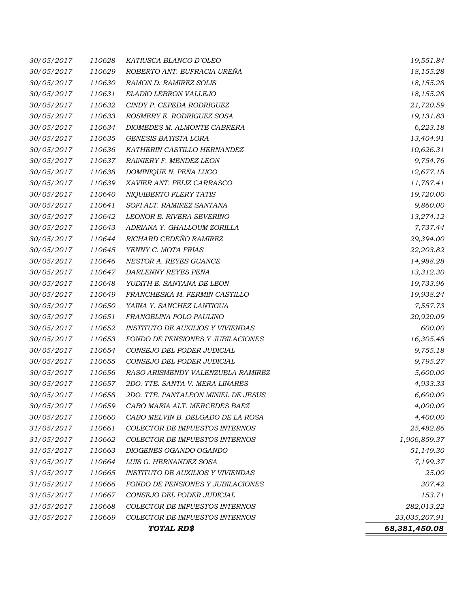| 30/05/2017 | 110628 | KATIUSCA BLANCO D'OLEO                   | 19,551.84     |
|------------|--------|------------------------------------------|---------------|
| 30/05/2017 | 110629 | ROBERTO ANT. EUFRACIA UREÑA              | 18,155.28     |
| 30/05/2017 | 110630 | RAMON D. RAMIREZ SOLIS                   | 18,155.28     |
| 30/05/2017 | 110631 | ELADIO LEBRON VALLEJO                    | 18,155.28     |
| 30/05/2017 | 110632 | CINDY P. CEPEDA RODRIGUEZ                | 21,720.59     |
| 30/05/2017 | 110633 | ROSMERY E. RODRIGUEZ SOSA                | 19,131.83     |
| 30/05/2017 | 110634 | DIOMEDES M. ALMONTE CABRERA              | 6,223.18      |
| 30/05/2017 | 110635 | <b>GENESIS BATISTA LORA</b>              | 13,404.91     |
| 30/05/2017 | 110636 | KATHERIN CASTILLO HERNANDEZ              | 10,626.31     |
| 30/05/2017 | 110637 | RAINIERY F. MENDEZ LEON                  | 9,754.76      |
| 30/05/2017 | 110638 | DOMINIQUE N. PEÑA LUGO                   | 12,677.18     |
| 30/05/2017 | 110639 | XAVIER ANT. FELIZ CARRASCO               | 11,787.41     |
| 30/05/2017 | 110640 | NIQUIBERTO FLERY TATIS                   | 19,720.00     |
| 30/05/2017 | 110641 | SOFI ALT. RAMIREZ SANTANA                | 9,860.00      |
| 30/05/2017 | 110642 | LEONOR E. RIVERA SEVERINO                | 13,274.12     |
| 30/05/2017 | 110643 | ADRIANA Y. GHALLOUM ZORILLA              | 7,737.44      |
| 30/05/2017 | 110644 | RICHARD CEDEÑO RAMIREZ                   | 29,394.00     |
| 30/05/2017 | 110645 | YENNY C. MOTA FRIAS                      | 22,203.82     |
| 30/05/2017 | 110646 | NESTOR A. REYES GUANCE                   | 14,988.28     |
| 30/05/2017 | 110647 | DARLENNY REYES PEÑA                      | 13,312.30     |
| 30/05/2017 | 110648 | YUDITH E. SANTANA DE LEON                | 19,733.96     |
| 30/05/2017 | 110649 | FRANCHESKA M. FERMIN CASTILLO            | 19,938.24     |
| 30/05/2017 | 110650 | YAINA Y. SANCHEZ LANTIGUA                | 7,557.73      |
| 30/05/2017 | 110651 | FRANGELINA POLO PAULINO                  | 20,920.09     |
| 30/05/2017 | 110652 | <b>INSTITUTO DE AUXILIOS Y VIVIENDAS</b> | 600.00        |
| 30/05/2017 | 110653 | FONDO DE PENSIONES Y JUBILACIONES        | 16,305.48     |
| 30/05/2017 | 110654 | CONSEJO DEL PODER JUDICIAL               | 9,755.18      |
| 30/05/2017 | 110655 | CONSEJO DEL PODER JUDICIAL               | 9,795.27      |
| 30/05/2017 | 110656 | RASO ARISMENDY VALENZUELA RAMIREZ        | 5,600.00      |
| 30/05/2017 | 110657 | 2DO. TTE. SANTA V. MERA LINARES          | 4,933.33      |
| 30/05/2017 | 110658 | 2DO. TTE. PANTALEON MINIEL DE JESUS      | 6,600.00      |
| 30/05/2017 | 110659 | CABO MARIA ALT. MERCEDES BAEZ            | 4,000.00      |
| 30/05/2017 | 110660 | CABO MELVIN B. DELGADO DE LA ROSA        | 4,400.00      |
| 31/05/2017 | 110661 | COLECTOR DE IMPUESTOS INTERNOS           | 25,482.86     |
| 31/05/2017 | 110662 | COLECTOR DE IMPUESTOS INTERNOS           | 1,906,859.37  |
| 31/05/2017 | 110663 | DIOGENES OGANDO OGANDO                   | 51,149.30     |
| 31/05/2017 | 110664 | LUIS G. HERNANDEZ SOSA                   | 7,199.37      |
| 31/05/2017 | 110665 | <b>INSTITUTO DE AUXILIOS Y VIVIENDAS</b> | 25.00         |
| 31/05/2017 | 110666 | FONDO DE PENSIONES Y JUBILACIONES        | 307.42        |
| 31/05/2017 | 110667 | CONSEJO DEL PODER JUDICIAL               | 153.71        |
| 31/05/2017 | 110668 | COLECTOR DE IMPUESTOS INTERNOS           | 282,013.22    |
| 31/05/2017 | 110669 | COLECTOR DE IMPUESTOS INTERNOS           | 23,035,207.91 |
|            |        | TOTAL RD\$                               | 68,381,450.08 |